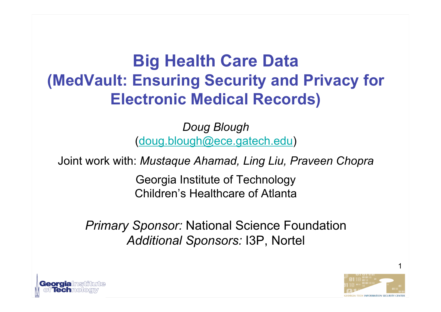#### **Big Health Care Data (MedVault: Ensuring Security and Privacy for Electronic Medical Records)**

*Doug Blough* (doug.blough@ece.gatech.edu)

Joint work with: *Mustaque Ahamad, Ling Liu, Praveen Chopra*

Georgia Institute of Technology Children's Healthcare of Atlanta

*Primary Sponsor:* National Science Foundation *Additional Sponsors:* I3P, Nortel



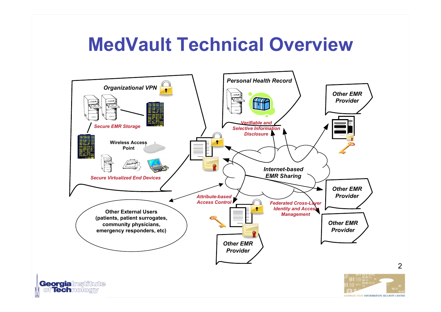### **MedVault Technical Overview**



2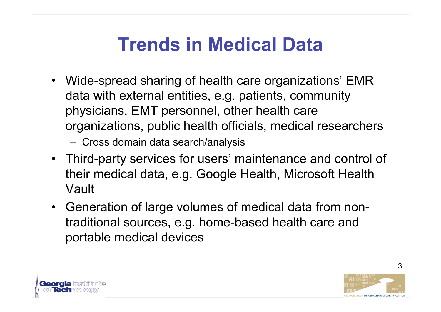## **Trends in Medical Data**

• Wide-spread sharing of health care organizations' EMR data with external entities, e.g. patients, community physicians, EMT personnel, other health care organizations, public health officials, medical researchers

– Cross domain data search/analysis

- Third-party services for users' maintenance and control of their medical data, e.g. Google Health, Microsoft Health Vault
- Generation of large volumes of medical data from nontraditional sources, e.g. home-based health care and portable medical devices

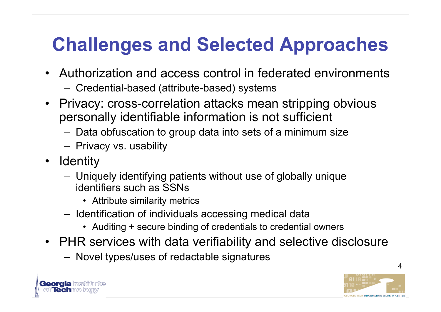# **Challenges and Selected Approaches**

- Authorization and access control in federated environments
	- Credential-based (attribute-based) systems
- Privacy: cross-correlation attacks mean stripping obvious personally identifiable information is not sufficient
	- Data obfuscation to group data into sets of a minimum size
	- Privacy vs. usability
- Identity
	- Uniquely identifying patients without use of globally unique identifiers such as SSNs
		- Attribute similarity metrics
	- Identification of individuals accessing medical data
		- Auditing + secure binding of credentials to credential owners
- PHR services with data verifiability and selective disclosure
	- Novel types/uses of redactable signatures





4